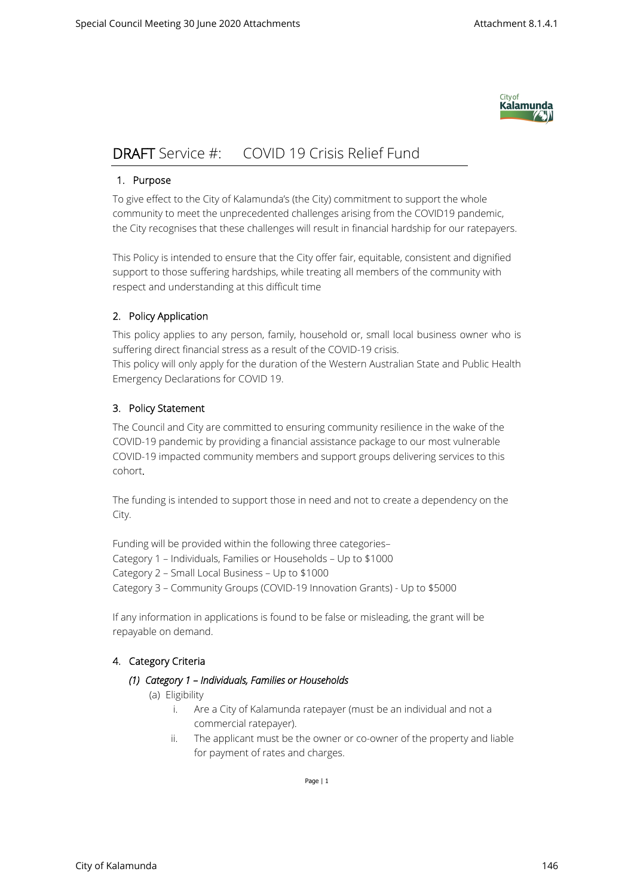

# **DRAFT** Service #: COVID 19 Crisis Relief Fund

### **1. Purpose**

To give effect to the City of Kalamunda's (the City) commitment to support the whole community to meet the unprecedented challenges arising from the COVID19 pandemic, the City recognises that these challenges will result in financial hardship for our ratepayers.

This Policy is intended to ensure that the City offer fair, equitable, consistent and dignified support to those suffering hardships, while treating all members of the community with respect and understanding at this difficult time

## **2. Policy Application**

This policy applies to any person, family, household or, small local business owner who is suffering direct financial stress as a result of the COVID-19 crisis.

This policy will only apply for the duration of the Western Australian State and Public Health Emergency Declarations for COVID 19.

## **3. Policy Statement**

The Council and City are committed to ensuring community resilience in the wake of the COVID-19 pandemic by providing a financial assistance package to our most vulnerable COVID-19 impacted community members and support groups delivering services to this cohort**.**

The funding is intended to support those in need and not to create a dependency on the City.

Funding will be provided within the following three categories– Category 1 – Individuals, Families or Households – Up to \$1000 Category 2 – Small Local Business – Up to \$1000 Category 3 – Community Groups (COVID-19 Innovation Grants) - Up to \$5000

If any information in applications is found to be false or misleading, the grant will be repayable on demand.

#### **4. Category Criteria**

#### *(1) Category 1 – Individuals, Families or Households*

- (a) Eligibility
	- i. Are a City of Kalamunda ratepayer (must be an individual and not a commercial ratepayer).
	- ii. The applicant must be the owner or co-owner of the property and liable for payment of rates and charges.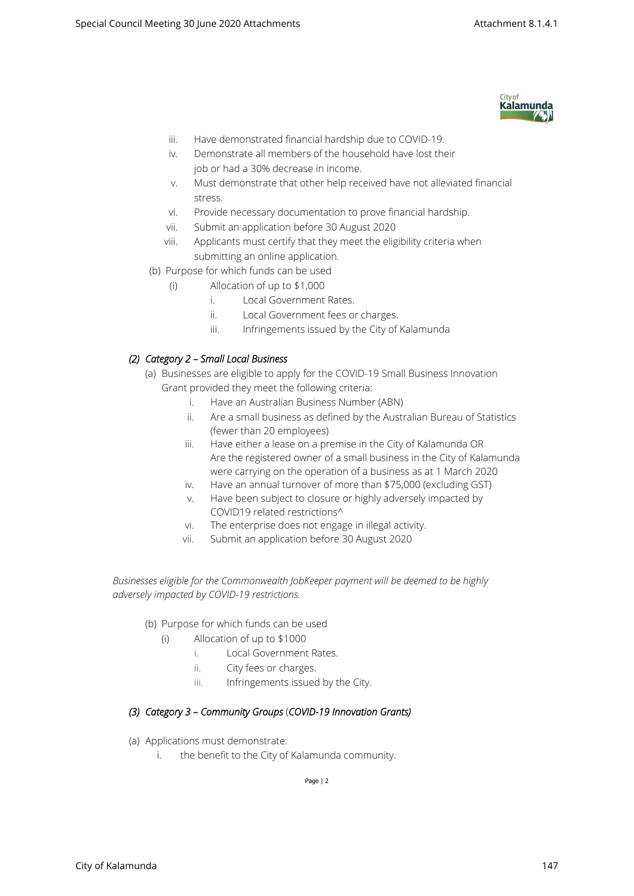

- iii. Have demonstrated financial hardship due to COVID-19.
- iv. Demonstrate all members of the household have lost their job or had a 30% decrease in income.
- v. Must demonstrate that other help received have not alleviated financial stress.
- vi. Provide necessary documentation to prove financial hardship.
- vii. Submit an application before 30 August 2020
- viii. Applicants must certify that they meet the eligibility criteria when submitting an online application.
- (b) Purpose for which funds can be used
	- (i) Allocation of up to \$1,000
		- i. Local Government Rates.
		- ii. Local Government fees or charges.
		- iii. Infringements issued by the City of Kalamunda

#### *(2) Category 2 – Small Local Business*

- (a) Businesses are eligible to apply for the COVID-19 Small Business Innovation Grant provided they meet the following criteria:
	- i. Have an Australian Business Number (ABN)
	- ii. Are a small business as defined by the Australian Bureau of Statistics (fewer than 20 employees)
	- iii. Have either a lease on a premise in the City of Kalamunda OR Are the registered owner of a small business in the City of Kalamunda were carrying on the operation of a business as at 1 March 2020
	- iv. Have an annual turnover of more than \$75,000 (excluding GST)
	- v. Have been subject to closure or highly adversely impacted by COVID19 related restrictions^
	- vi. The enterprise does not engage in illegal activity.
	- vii. Submit an application before 30 August 2020

*Businesses eligible for the Commonwealth JobKeeper payment will be deemed to be highly adversely impacted by COVID-19 restrictions.*

- (b) Purpose for which funds can be used
	- (i) Allocation of up to \$1000
		- i. Local Government Rates.
		- ii. City fees or charges.
		- iii. Infringements issued by the City.

#### *(3) Category 3 – Community Groups* (*COVID-19 Innovation Grants)*

- (a) Applications must demonstrate:
	- i. the benefit to the City of Kalamunda community.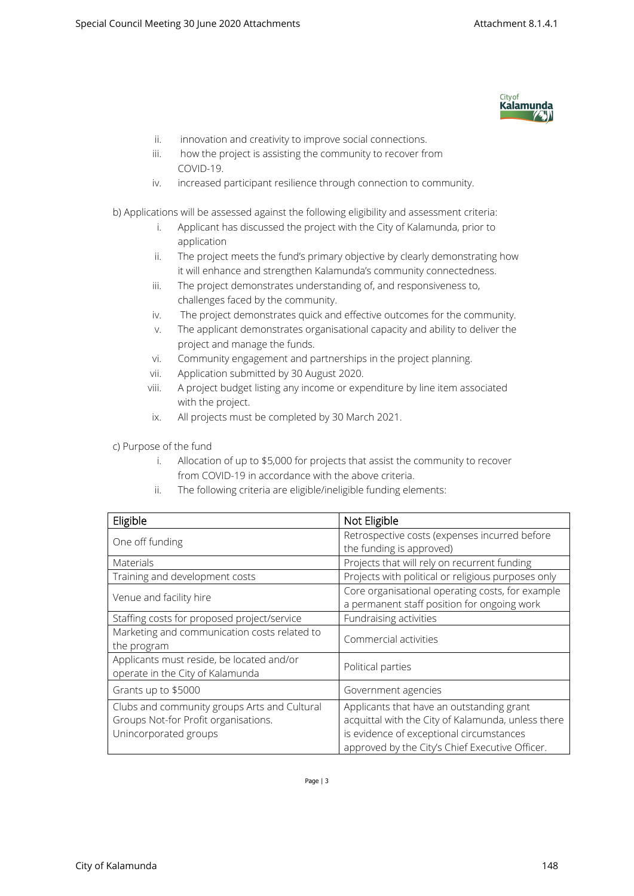

- ii. innovation and creativity to improve social connections.
- iii. how the project is assisting the community to recover from COVID-19.
- iv. increased participant resilience through connection to community.
- b) Applications will be assessed against the following eligibility and assessment criteria:
	- i. Applicant has discussed the project with the City of Kalamunda, prior to application
	- ii. The project meets the fund's primary objective by clearly demonstrating how it will enhance and strengthen Kalamunda's community connectedness.
	- iii. The project demonstrates understanding of, and responsiveness to, challenges faced by the community.
	- iv. The project demonstrates quick and effective outcomes for the community.
	- v. The applicant demonstrates organisational capacity and ability to deliver the project and manage the funds.
	- vi. Community engagement and partnerships in the project planning.
	- vii. Application submitted by 30 August 2020.
	- viii. A project budget listing any income or expenditure by line item associated with the project.
	- ix. All projects must be completed by 30 March 2021.

c) Purpose of the fund

- i. Allocation of up to \$5,000 for projects that assist the community to recover from COVID-19 in accordance with the above criteria.
- ii. The following criteria are eligible/ineligible funding elements:

| Eligible                                     | Not Eligible                                       |  |  |
|----------------------------------------------|----------------------------------------------------|--|--|
| One off funding                              | Retrospective costs (expenses incurred before      |  |  |
|                                              | the funding is approved)                           |  |  |
| <b>Materials</b>                             | Projects that will rely on recurrent funding       |  |  |
| Training and development costs               | Projects with political or religious purposes only |  |  |
| Venue and facility hire                      | Core organisational operating costs, for example   |  |  |
|                                              | a permanent staff position for ongoing work        |  |  |
| Staffing costs for proposed project/service  | Fundraising activities                             |  |  |
| Marketing and communication costs related to | Commercial activities                              |  |  |
| the program                                  |                                                    |  |  |
| Applicants must reside, be located and/or    | Political parties                                  |  |  |
| operate in the City of Kalamunda             |                                                    |  |  |
| Grants up to \$5000                          | Government agencies                                |  |  |
| Clubs and community groups Arts and Cultural | Applicants that have an outstanding grant          |  |  |
| Groups Not-for Profit organisations.         | acquittal with the City of Kalamunda, unless there |  |  |
| Unincorporated groups                        | is evidence of exceptional circumstances           |  |  |
|                                              | approved by the City's Chief Executive Officer.    |  |  |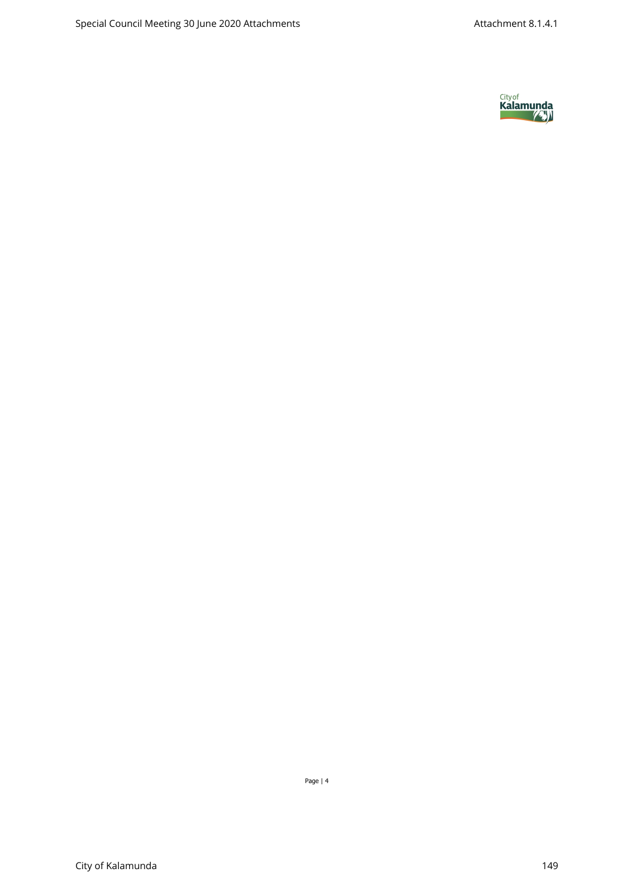